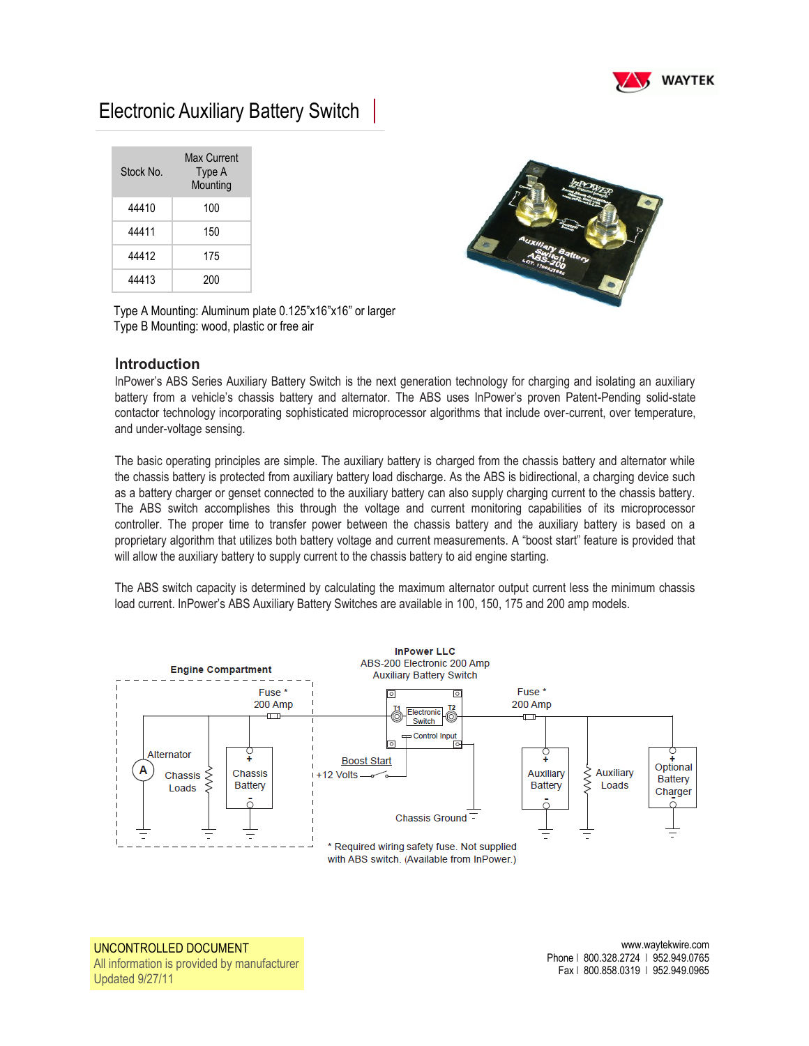

## Electronic Auxiliary Battery Switch

| Stock No. | Max Current<br>Type A<br>Mounting |
|-----------|-----------------------------------|
| 44410     | 100                               |
| 44411     | 150                               |
| 44412     | 175                               |
| 44413     | 200                               |



Type A Mounting: Aluminum plate 0.125"x16"x16" or larger Type B Mounting: wood, plastic or free air

## I**ntroduction**

InPower's ABS Series Auxiliary Battery Switch is the next generation technology for charging and isolating an auxiliary battery from a vehicle's chassis battery and alternator. The ABS uses InPower's proven Patent-Pending solid-state contactor technology incorporating sophisticated microprocessor algorithms that include over-current, over temperature, and under-voltage sensing.

The basic operating principles are simple. The auxiliary battery is charged from the chassis battery and alternator while the chassis battery is protected from auxiliary battery load discharge. As the ABS is bidirectional, a charging device such as a battery charger or genset connected to the auxiliary battery can also supply charging current to the chassis battery. The ABS switch accomplishes this through the voltage and current monitoring capabilities of its microprocessor controller. The proper time to transfer power between the chassis battery and the auxiliary battery is based on a proprietary algorithm that utilizes both battery voltage and current measurements. A "boost start" feature is provided that will allow the auxiliary battery to supply current to the chassis battery to aid engine starting.

The ABS switch capacity is determined by calculating the maximum alternator output current less the minimum chassis load current. InPower's ABS Auxiliary Battery Switches are available in 100, 150, 175 and 200 amp models.



UNCONTROLLED DOCUMENT All information is provided by manufacturer Updated 9/27/11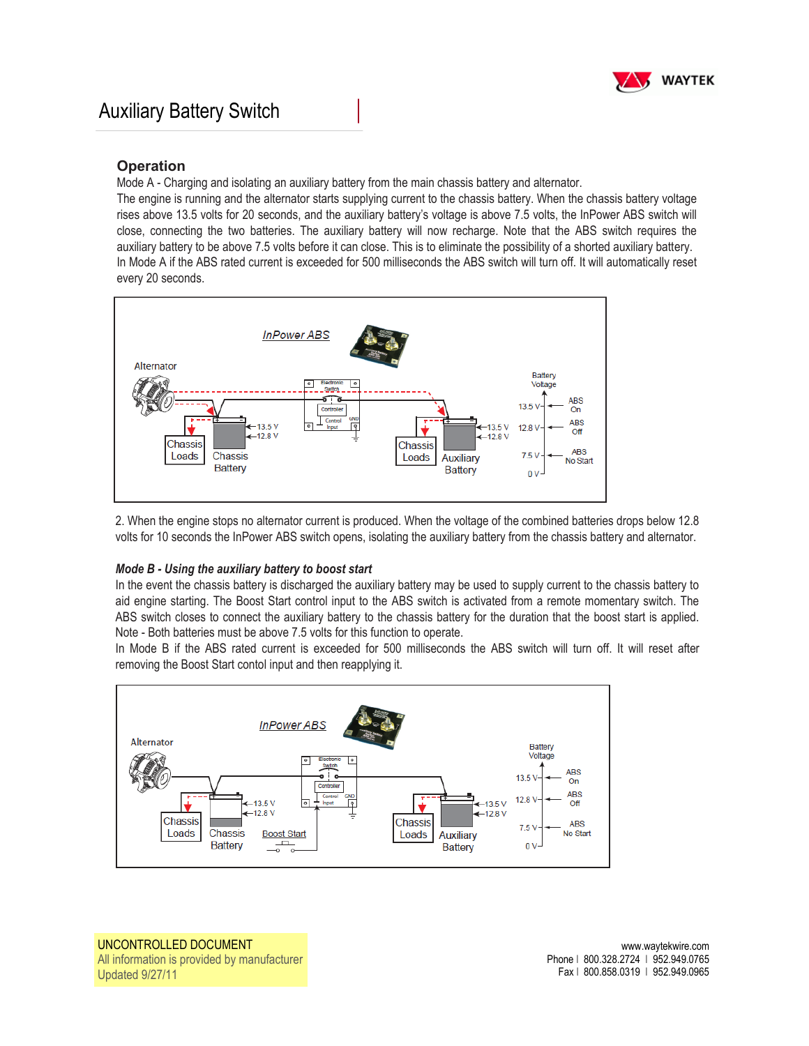

## **Operation**

Mode A - Charging and isolating an auxiliary battery from the main chassis battery and alternator.

The engine is running and the alternator starts supplying current to the chassis battery. When the chassis battery voltage rises above 13.5 volts for 20 seconds, and the auxiliary battery's voltage is above 7.5 volts, the InPower ABS switch will close, connecting the two batteries. The auxiliary battery will now recharge. Note that the ABS switch requires the auxiliary battery to be above 7.5 volts before it can close. This is to eliminate the possibility of a shorted auxiliary battery. In Mode A if the ABS rated current is exceeded for 500 milliseconds the ABS switch will turn off. It will automatically reset every 20 seconds.



2. When the engine stops no alternator current is produced. When the voltage of the combined batteries drops below 12.8 volts for 10 seconds the InPower ABS switch opens, isolating the auxiliary battery from the chassis battery and alternator.

## *Mode B - Using the auxiliary battery to boost start*

In the event the chassis battery is discharged the auxiliary battery may be used to supply current to the chassis battery to aid engine starting. The Boost Start control input to the ABS switch is activated from a remote momentary switch. The ABS switch closes to connect the auxiliary battery to the chassis battery for the duration that the boost start is applied. Note - Both batteries must be above 7.5 volts for this function to operate.

In Mode B if the ABS rated current is exceeded for 500 milliseconds the ABS switch will turn off. It will reset after removing the Boost Start contol input and then reapplying it.



UNCONTROLLED DOCUMENT All information is provided by manufacturer Updated 9/27/11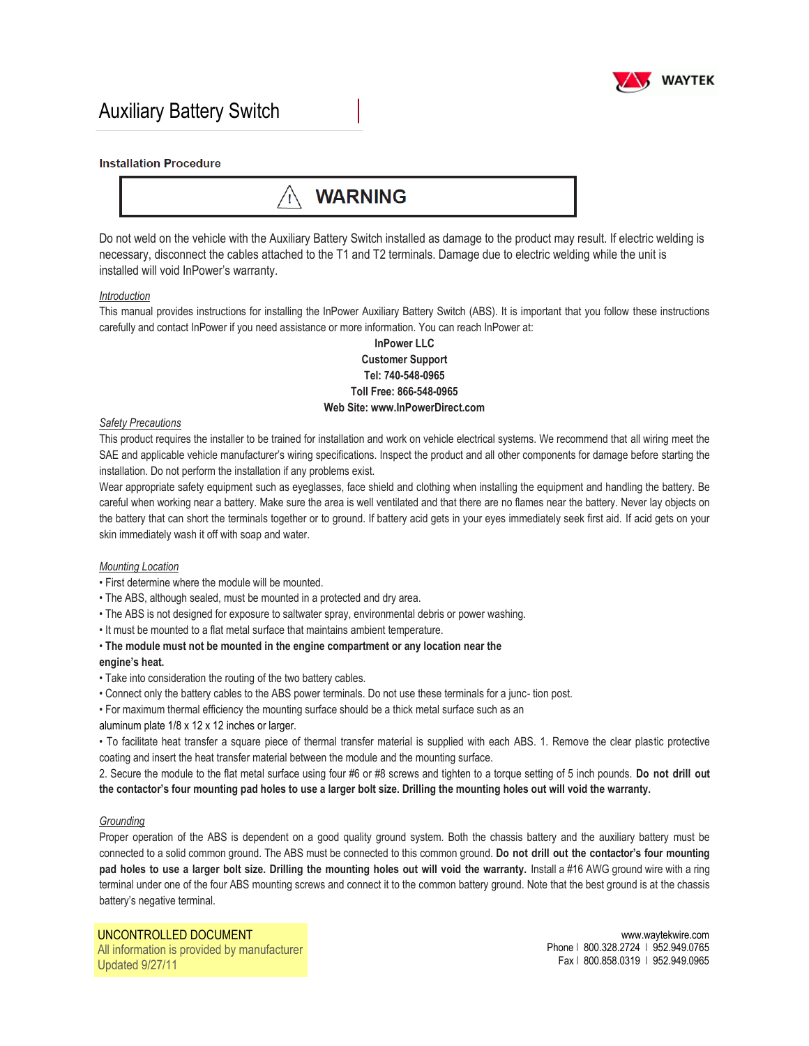

## Auxiliary Battery Switch

#### **Installation Procedure**

## **WARNING**

Do not weld on the vehicle with the Auxiliary Battery Switch installed as damage to the product may result. If electric welding is necessary, disconnect the cables attached to the T1 and T2 terminals. Damage due to electric welding while the unit is installed will void InPower's warranty.

#### *Introduction*

This manual provides instructions for installing the InPower Auxiliary Battery Switch (ABS). It is important that you follow these instructions carefully and contact InPower if you need assistance or more information. You can reach InPower at:

## **InPower LLC Customer Support Tel: 740-548-0965 Toll Free: 866-548-0965 Web Site: www.InPowerDirect.com**

#### *Safety Precautions*

This product requires the installer to be trained for installation and work on vehicle electrical systems. We recommend that all wiring meet the SAE and applicable vehicle manufacturer's wiring specifications. Inspect the product and all other components for damage before starting the installation. Do not perform the installation if any problems exist.

Wear appropriate safety equipment such as eyeglasses, face shield and clothing when installing the equipment and handling the battery. Be careful when working near a battery. Make sure the area is well ventilated and that there are no flames near the battery. Never lay objects on the battery that can short the terminals together or to ground. If battery acid gets in your eyes immediately seek first aid. If acid gets on your skin immediately wash it off with soap and water.

#### *Mounting Location*

- First determine where the module will be mounted.
- The ABS, although sealed, must be mounted in a protected and dry area.
- The ABS is not designed for exposure to saltwater spray, environmental debris or power washing.
- It must be mounted to a flat metal surface that maintains ambient temperature.
- **The module must not be mounted in the engine compartment or any location near the**

#### **engine's heat.**

- Take into consideration the routing of the two battery cables.
- Connect only the battery cables to the ABS power terminals. Do not use these terminals for a junc- tion post.
- For maximum thermal efficiency the mounting surface should be a thick metal surface such as an
- aluminum plate 1/8 x 12 x 12 inches or larger.

• To facilitate heat transfer a square piece of thermal transfer material is supplied with each ABS. 1. Remove the clear plastic protective coating and insert the heat transfer material between the module and the mounting surface.

2. Secure the module to the flat metal surface using four #6 or #8 screws and tighten to a torque setting of 5 inch pounds. **Do not drill out the contactor's four mounting pad holes to use a larger bolt size. Drilling the mounting holes out will void the warranty.**

#### *Grounding*

Proper operation of the ABS is dependent on a good quality ground system. Both the chassis battery and the auxiliary battery must be connected to a solid common ground. The ABS must be connected to this common ground. **Do not drill out the contactor's four mounting**  pad holes to use a larger bolt size. Drilling the mounting holes out will void the warranty. Install a #16 AWG ground wire with a ring terminal under one of the four ABS mounting screws and connect it to the common battery ground. Note that the best ground is at the chassis battery's negative terminal.

UNCONTROLLED DOCUMENT All information is provided by manufacturer Updated 9/27/11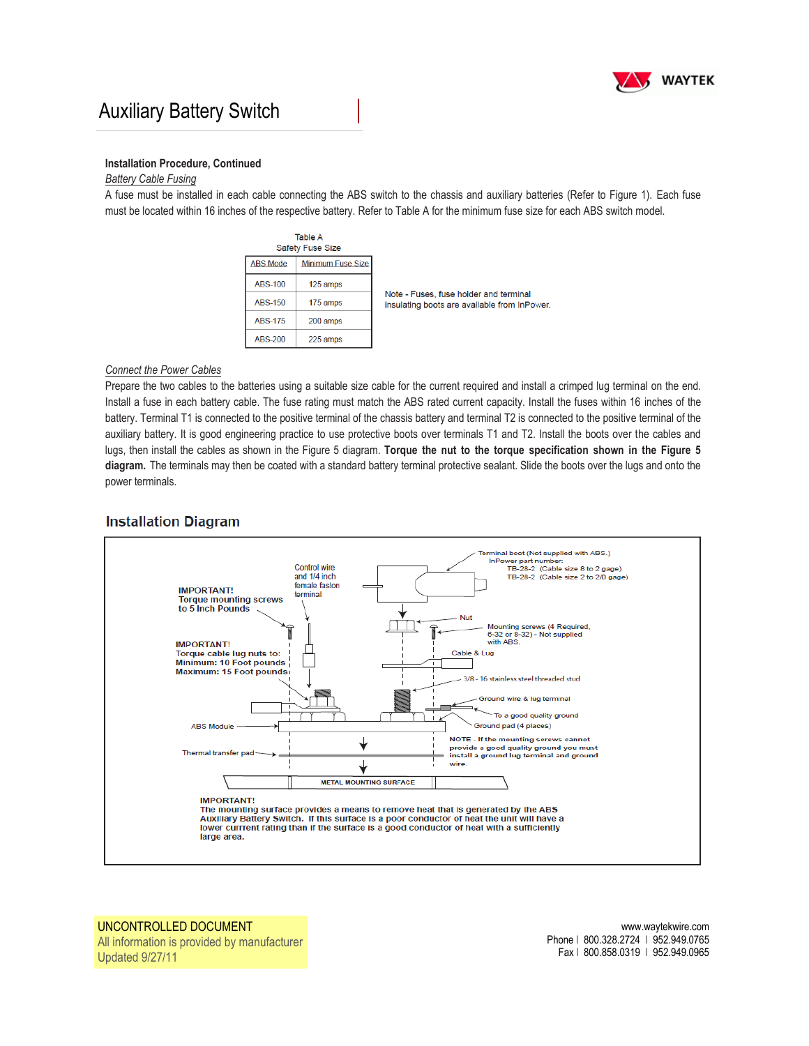

## Auxiliary Battery Switch

#### **Installation Procedure, Continued**

## *Battery Cable Fusing*

A fuse must be installed in each cable connecting the ABS switch to the chassis and auxiliary batteries (Refer to Figure 1). Each fuse must be located within 16 inches of the respective battery. Refer to Table A for the minimum fuse size for each ABS switch model.

|                 | Table A<br><b>Safety Fuse Size</b> |                                                                                        |
|-----------------|------------------------------------|----------------------------------------------------------------------------------------|
| <b>ABS Mode</b> | <b>Minimum Fuse Size</b>           |                                                                                        |
| <b>ABS-100</b>  | 125 amps                           | Note - Fuses, fuse holder and terminal<br>insulating boots are available from InPower. |
| <b>ABS-150</b>  | 175 amps                           |                                                                                        |
| <b>ABS-175</b>  | 200 amps                           |                                                                                        |
| ABS-200         | 225 amps                           |                                                                                        |

### *Connect the Power Cables*

Prepare the two cables to the batteries using a suitable size cable for the current required and install a crimped lug terminal on the end. Install a fuse in each battery cable. The fuse rating must match the ABS rated current capacity. Install the fuses within 16 inches of the battery. Terminal T1 is connected to the positive terminal of the chassis battery and terminal T2 is connected to the positive terminal of the auxiliary battery. It is good engineering practice to use protective boots over terminals T1 and T2. Install the boots over the cables and lugs, then install the cables as shown in the Figure 5 diagram. **Torque the nut to the torque specification shown in the Figure 5 diagram.** The terminals may then be coated with a standard battery terminal protective sealant. Slide the boots over the lugs and onto the power terminals.

### **Installation Diagram**



UNCONTROLLED DOCUMENT All information is provided by manufacturer Updated 9/27/11